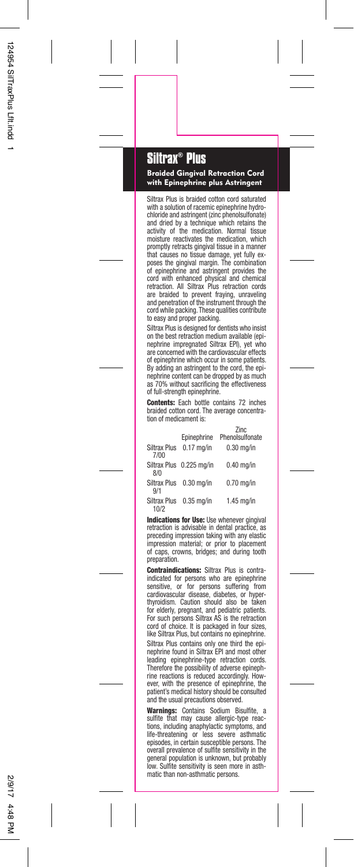## **Siltrax® Plus**

Braided Gingival Retraction Cord with Epinephrine plus Astringent

Siltrax Plus is braided cotton cord saturated with a solution of racemic epinephrine hydrochloride and astringent (zinc phenolsulfonate) and dried by a technique which retains the activity of the medication. Normal tissue moisture reactivates the medication, which promptly retracts gingival tissue in a manner that causes no tissue damage, yet fully ex-poses the gingival margin. The combination of epinephrine and astringent provides the cord with enhanced physical and chemical retraction. All Siltrax Plus retraction cords are braided to prevent fraying, unraveling and penetration of the instrument through the cord while packing. These qualities contribute to easy and proper packing.

Siltrax Plus is designed for dentists who insist on the best retraction medium available (epi-<br>nenhrine impregnated Siltrax FPI) yet who nephrine impregnated Siltrax EPI), yet are concerned with the cardiovascular effects of epinephrine which occur in some patients. By adding an astringent to the cord, the epinephrine content can be dropped by as much as 70% without sacrificing the effectiveness of full-strength epinephrine.

Contents: Each bottle contains 72 inches braided cotton cord. The average concentration of medicament is:

|                      | Epinephrine              | Zinc<br>Phenolsulfonate |
|----------------------|--------------------------|-------------------------|
| Siltrax Plus<br>7/00 | $0.17$ ma/in             | $0.30$ mg/in            |
| 8/0                  | Siltrax Plus 0.225 mg/in | $0.40$ mg/in            |
| 9/1                  | Siltrax Plus 0.30 mg/in  | $0.70$ ma/in            |
| 10/2                 | Siltrax Plus 0.35 mg/in  | $1.45$ ma/in            |

Indications for Use: Use whenever gingival retraction is advisable in dental practice, as preceding impression taking with any elastic impression material; or prior to placement of caps, crowns, bridges; and during tooth preparation.

Contraindications: Siltrax Plus is contraindicated for persons who are epinephrine<br>sensitive, or for persons suffering from for persons suffering from cardiovascular disease, diabetes, or hyperthyroidism. Caution should also be taken for elderly, pregnant, and pediatric patients. For such persons Siltrax AS is the retraction cord of choice. It is packaged in four sizes, like Siltrax Plus, but contains no epinephrine. Siltrax Plus contains only one third the epinephrine found in Siltrax EPI and most other leading epinephrine-type retraction cords. Therefore the possibility of adverse epinephrine reactions is reduced accordingly. However, with the presence of epinephrine, the patient's medical history should be consulted and the usual precautions observed.

Warnings: Contains Sodium Bisulfite, a sulfite that may cause allergic-type reactions, including anaphylactic symptoms, and life-threatening or less severe asthmatic<br>enisodes in certain susceptible persons. The episodes, in certain susceptible persons. overall prevalence of sulfite sensitivity in the general population is unknown, but probably low. Sulfite sensitivity is seen more in asthmatic than non-asthmatic persons.